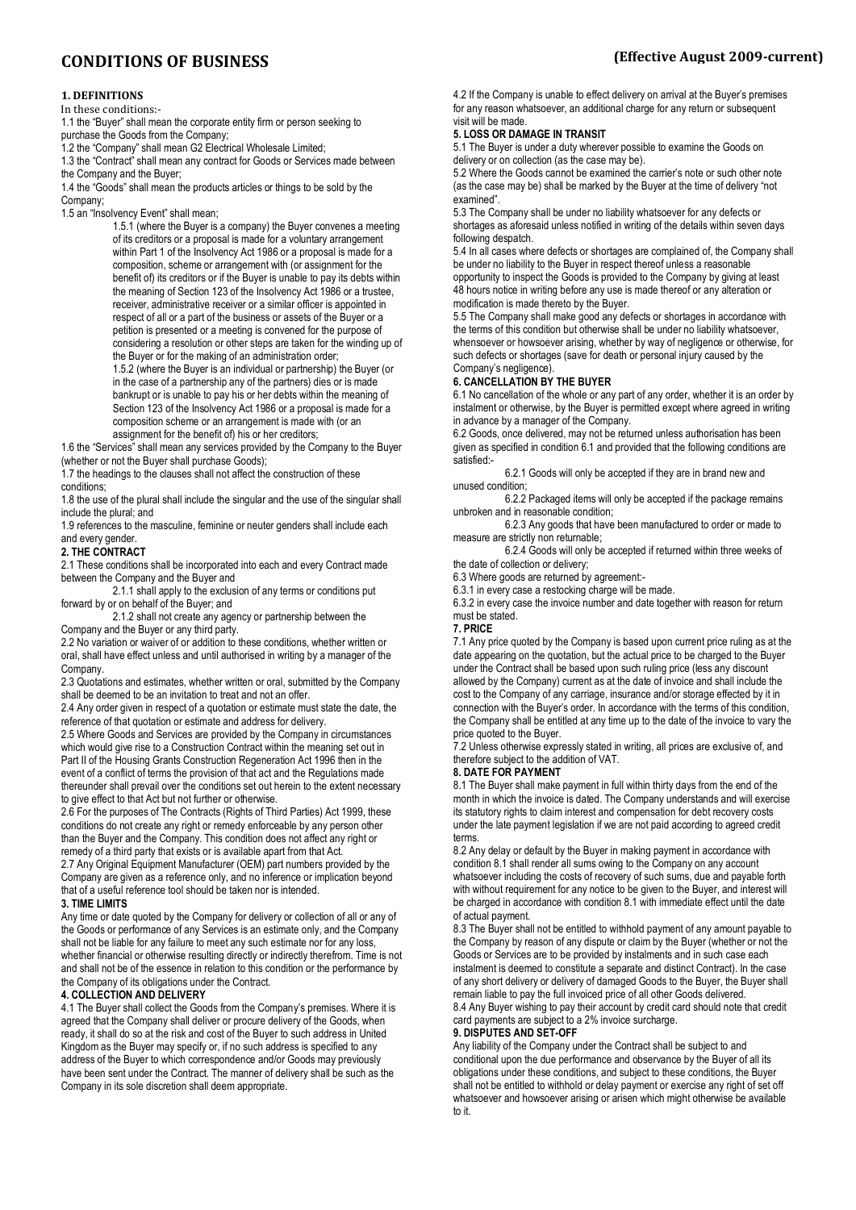## **1. DEFINITIONS**

#### In these conditions:-

1.1 the "Buyer" shall mean the corporate entity firm or person seeking to purchase the Goods from the Company;

1.2 the "Company" shall mean G2 Electrical Wholesale Limited;

1.3 the "Contract" shall mean any contract for Goods or Services made between the Company and the Buyer;

1.4 the "Goods" shall mean the products articles or things to be sold by the

Company;

1.5 an "Insolvency Event" shall mean;

1.5.1 (where the Buyer is a company) the Buyer convenes a meeting of its creditors or a proposal is made for a voluntary arrangement within Part 1 of the Insolvency Act 1986 or a proposal is made for a composition, scheme or arrangement with (or assignment for the benefit of) its creditors or if the Buyer is unable to pay its debts within the meaning of Section 123 of the Insolvency Act 1986 or a trustee, receiver, administrative receiver or a similar officer is appointed in respect of all or a part of the business or assets of the Buyer or a petition is presented or a meeting is convened for the purpose of considering a resolution or other steps are taken for the winding up of the Buyer or for the making of an administration order;

1.5.2 (where the Buyer is an individual or partnership) the Buyer (or in the case of a partnership any of the partners) dies or is made bankrupt or is unable to pay his or her debts within the meaning of Section 123 of the Insolvency Act 1986 or a proposal is made for a composition scheme or an arrangement is made with (or an assignment for the benefit of) his or her creditors;

1.6 the "Services" shall mean any services provided by the Company to the Buyer (whether or not the Buyer shall purchase Goods);

1.7 the headings to the clauses shall not affect the construction of these conditions;

1.8 the use of the plural shall include the singular and the use of the singular shall include the plural; and

1.9 references to the masculine, feminine or neuter genders shall include each and every gender.

#### **2. THE CONTRACT**

2.1 These conditions shall be incorporated into each and every Contract made between the Company and the Buyer and

2.1.1 shall apply to the exclusion of any terms or conditions put forward by or on behalf of the Buyer; and

2.1.2 shall not create any agency or partnership between the Company and the Buyer or any third party.

2.2 No variation or waiver of or addition to these conditions, whether written or oral, shall have effect unless and until authorised in writing by a manager of the Company.

2.3 Quotations and estimates, whether written or oral, submitted by the Company shall be deemed to be an invitation to treat and not an offer.

2.4 Any order given in respect of a quotation or estimate must state the date, the reference of that quotation or estimate and address for delivery.

2.5 Where Goods and Services are provided by the Company in circumstances which would give rise to a Construction Contract within the meaning set out in Part II of the Housing Grants Construction Regeneration Act 1996 then in the event of a conflict of terms the provision of that act and the Regulations made thereunder shall prevail over the conditions set out herein to the extent necessary to give effect to that Act but not further or otherwise.

2.6 For the purposes of The Contracts (Rights of Third Parties) Act 1999, these conditions do not create any right or remedy enforceable by any person other than the Buyer and the Company. This condition does not affect any right or remedy of a third party that exists or is available apart from that Act. 2.7 Any Original Equipment Manufacturer (OEM) part numbers provided by the Company are given as a reference only, and no inference or implication beyond

that of a useful reference tool should be taken nor is intended.

## **3. TIME LIMITS**

Any time or date quoted by the Company for delivery or collection of all or any of the Goods or performance of any Services is an estimate only, and the Company shall not be liable for any failure to meet any such estimate nor for any loss, whether financial or otherwise resulting directly or indirectly therefrom. Time is not and shall not be of the essence in relation to this condition or the performance by the Company of its obligations under the Contract.

### **4. COLLECTION AND DELIVERY**

4.1 The Buyer shall collect the Goods from the Company's premises. Where it is agreed that the Company shall deliver or procure delivery of the Goods, when ready, it shall do so at the risk and cost of the Buyer to such address in United Kingdom as the Buyer may specify or, if no such address is specified to any address of the Buyer to which correspondence and/or Goods may previously have been sent under the Contract. The manner of delivery shall be such as the Company in its sole discretion shall deem appropriate.

4.2 If the Company is unable to effect delivery on arrival at the Buyer's premises for any reason whatsoever, an additional charge for any return or subsequent visit will be made.

## **5. LOSS OR DAMAGE IN TRANSIT**

5.1 The Buyer is under a duty wherever possible to examine the Goods on delivery or on collection (as the case may be).

5.2 Where the Goods cannot be examined the carrier's note or such other note (as the case may be) shall be marked by the Buyer at the time of delivery "not examined".

5.3 The Company shall be under no liability whatsoever for any defects or shortages as aforesaid unless notified in writing of the details within seven days following despatch.

5.4 In all cases where defects or shortages are complained of, the Company shall be under no liability to the Buyer in respect thereof unless a reasonable opportunity to inspect the Goods is provided to the Company by giving at least

48 hours notice in writing before any use is made thereof or any alteration or modification is made thereto by the Buyer.

5.5 The Company shall make good any defects or shortages in accordance with the terms of this condition but otherwise shall be under no liability whatsoever, whensoever or howsoever arising, whether by way of negligence or otherwise, for such defects or shortages (save for death or personal injury caused by the Company's negligence).

## **6. CANCELLATION BY THE BUYER**

6.1 No cancellation of the whole or any part of any order, whether it is an order by instalment or otherwise, by the Buyer is permitted except where agreed in writing in advance by a manager of the Company.

6.2 Goods, once delivered, may not be returned unless authorisation has been given as specified in condition 6.1 and provided that the following conditions are satisfied:-

6.2.1 Goods will only be accepted if they are in brand new and unused condition;

6.2.2 Packaged items will only be accepted if the package remains unbroken and in reasonable condition;

6.2.3 Any goods that have been manufactured to order or made to measure are strictly non returnable;

6.2.4 Goods will only be accepted if returned within three weeks of

the date of collection or delivery;

6.3 Where goods are returned by agreement:-

6.3.1 in every case a restocking charge will be made.

6.3.2 in every case the invoice number and date together with reason for return must be stated.

### **7. PRICE**

7.1 Any price quoted by the Company is based upon current price ruling as at the date appearing on the quotation, but the actual price to be charged to the Buyer under the Contract shall be based upon such ruling price (less any discount allowed by the Company) current as at the date of invoice and shall include the cost to the Company of any carriage, insurance and/or storage effected by it in connection with the Buyer's order. In accordance with the terms of this condition, the Company shall be entitled at any time up to the date of the invoice to vary the price quoted to the Buyer.

7.2 Unless otherwise expressly stated in writing, all prices are exclusive of, and therefore subject to the addition of VAT.

## **8. DATE FOR PAYMENT**

8.1 The Buyer shall make payment in full within thirty days from the end of the month in which the invoice is dated. The Company understands and will exercise its statutory rights to claim interest and compensation for debt recovery costs under the late payment legislation if we are not paid according to agreed credit terms.

8.2 Any delay or default by the Buyer in making payment in accordance with condition 8.1 shall render all sums owing to the Company on any account whatsoever including the costs of recovery of such sums, due and payable forth with without requirement for any notice to be given to the Buyer, and interest will be charged in accordance with condition 8.1 with immediate effect until the date of actual payment.

8.3 The Buyer shall not be entitled to withhold payment of any amount payable to the Company by reason of any dispute or claim by the Buyer (whether or not the Goods or Services are to be provided by instalments and in such case each instalment is deemed to constitute a separate and distinct Contract). In the case of any short delivery or delivery of damaged Goods to the Buyer, the Buyer shall remain liable to pay the full invoiced price of all other Goods delivered. 8.4 Any Buyer wishing to pay their account by credit card should note that credit card payments are subject to a 2% invoice surcharge.

### **9. DISPUTES AND SET-OFF**

Any liability of the Company under the Contract shall be subject to and conditional upon the due performance and observance by the Buyer of all its obligations under these conditions, and subject to these conditions, the Buyer shall not be entitled to withhold or delay payment or exercise any right of set off whatsoever and howsoever arising or arisen which might otherwise be available to it.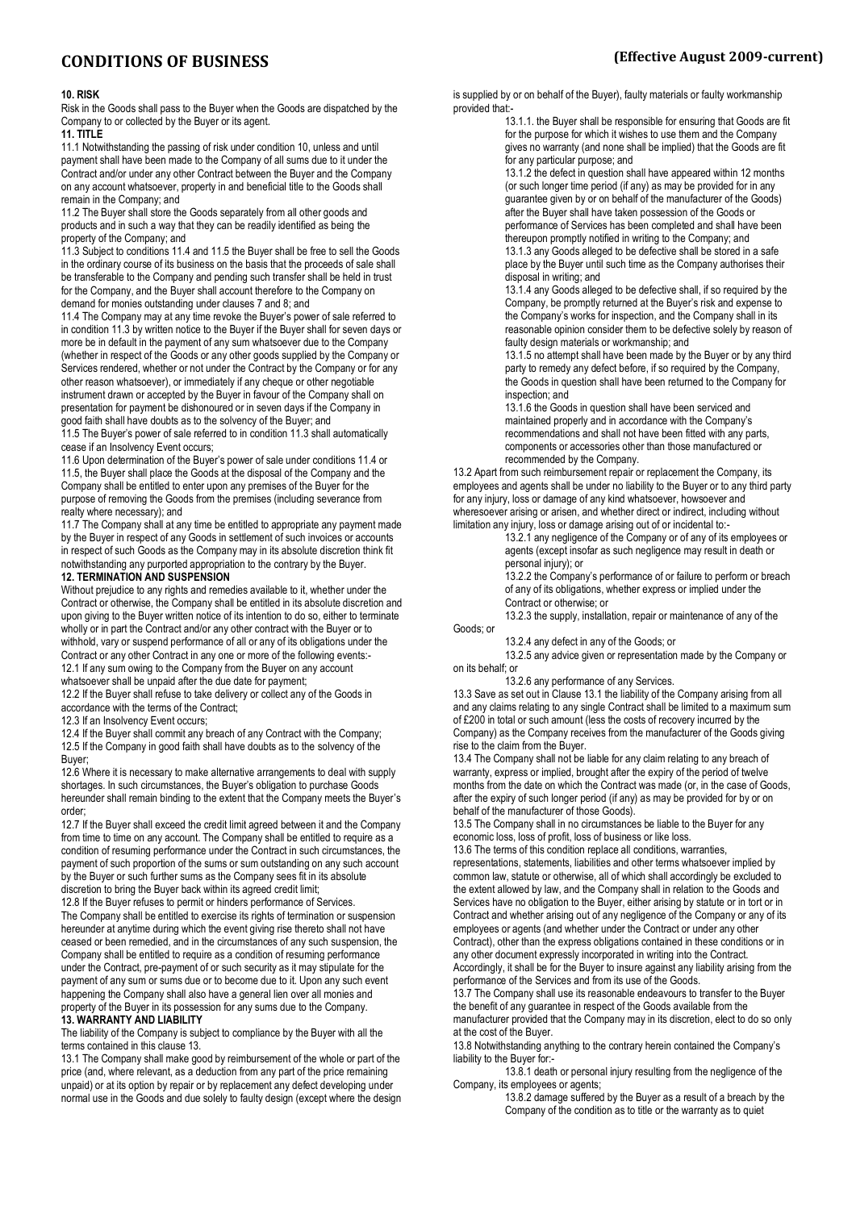#### **10. RISK**

Risk in the Goods shall pass to the Buyer when the Goods are dispatched by the Company to or collected by the Buyer or its agent.

**11. TITLE**

11.1 Notwithstanding the passing of risk under condition 10, unless and until payment shall have been made to the Company of all sums due to it under the Contract and/or under any other Contract between the Buyer and the Company on any account whatsoever, property in and beneficial title to the Goods shall remain in the Company; and

11.2 The Buyer shall store the Goods separately from all other goods and products and in such a way that they can be readily identified as being the property of the Company; and

11.3 Subject to conditions 11.4 and 11.5 the Buyer shall be free to sell the Goods in the ordinary course of its business on the basis that the proceeds of sale shall be transferable to the Company and pending such transfer shall be held in trust for the Company, and the Buyer shall account therefore to the Company on demand for monies outstanding under clauses 7 and 8; and

11.4 The Company may at any time revoke the Buyer's power of sale referred to in condition 11.3 by written notice to the Buyer if the Buyer shall for seven days or more be in default in the payment of any sum whatsoever due to the Company (whether in respect of the Goods or any other goods supplied by the Company or Services rendered, whether or not under the Contract by the Company or for any other reason whatsoever), or immediately if any cheque or other negotiable instrument drawn or accepted by the Buyer in favour of the Company shall on presentation for payment be dishonoured or in seven days if the Company in good faith shall have doubts as to the solvency of the Buyer; and 11.5 The Buyer's power of sale referred to in condition 11.3 shall automatically

cease if an Insolvency Event occurs;

11.6 Upon determination of the Buyer's power of sale under conditions 11.4 or 11.5, the Buyer shall place the Goods at the disposal of the Company and the Company shall be entitled to enter upon any premises of the Buyer for the purpose of removing the Goods from the premises (including severance from realty where necessary); and

11.7 The Company shall at any time be entitled to appropriate any payment made by the Buyer in respect of any Goods in settlement of such invoices or accounts in respect of such Goods as the Company may in its absolute discretion think fit notwithstanding any purported appropriation to the contrary by the Buyer.

# **12. TERMINATION AND SUSPENSION**

Without prejudice to any rights and remedies available to it, whether under the Contract or otherwise, the Company shall be entitled in its absolute discretion and upon giving to the Buyer written notice of its intention to do so, either to terminate wholly or in part the Contract and/or any other contract with the Buyer or to withhold, vary or suspend performance of all or any of its obligations under the Contract or any other Contract in any one or more of the following events:- 12.1 If any sum owing to the Company from the Buyer on any account whatsoever shall be unpaid after the due date for payment;

12.2 If the Buyer shall refuse to take delivery or collect any of the Goods in accordance with the terms of the Contract;

12.3 If an Insolvency Event occurs;

12.4 If the Buyer shall commit any breach of any Contract with the Company; 12.5 If the Company in good faith shall have doubts as to the solvency of the Buyer;

12.6 Where it is necessary to make alternative arrangements to deal with supply shortages. In such circumstances, the Buyer's obligation to purchase Goods hereunder shall remain binding to the extent that the Company meets the Buyer's order;

12.7 If the Buyer shall exceed the credit limit agreed between it and the Company from time to time on any account. The Company shall be entitled to require as a condition of resuming performance under the Contract in such circumstances, the payment of such proportion of the sums or sum outstanding on any such account by the Buyer or such further sums as the Company sees fit in its absolute discretion to bring the Buyer back within its agreed credit limit;

12.8 If the Buyer refuses to permit or hinders performance of Services. The Company shall be entitled to exercise its rights of termination or suspension hereunder at anytime during which the event giving rise thereto shall not have ceased or been remedied, and in the circumstances of any such suspension, the Company shall be entitled to require as a condition of resuming performance under the Contract, pre-payment of or such security as it may stipulate for the payment of any sum or sums due or to become due to it. Upon any such event happening the Company shall also have a general lien over all monies and property of the Buyer in its possession for any sums due to the Company.

# **13. WARRANTY AND LIABILITY**

The liability of the Company is subject to compliance by the Buyer with all the terms contained in this clause 13.

13.1 The Company shall make good by reimbursement of the whole or part of the price (and, where relevant, as a deduction from any part of the price remaining unpaid) or at its option by repair or by replacement any defect developing under normal use in the Goods and due solely to faulty design (except where the design is supplied by or on behalf of the Buyer), faulty materials or faulty workmanship provided that:-

13.1.1. the Buyer shall be responsible for ensuring that Goods are fit for the purpose for which it wishes to use them and the Company gives no warranty (and none shall be implied) that the Goods are fit for any particular purpose; and

13.1.2 the defect in question shall have appeared within 12 months (or such longer time period (if any) as may be provided for in any guarantee given by or on behalf of the manufacturer of the Goods) after the Buyer shall have taken possession of the Goods or performance of Services has been completed and shall have been thereupon promptly notified in writing to the Company; and

13.1.3 any Goods alleged to be defective shall be stored in a safe place by the Buyer until such time as the Company authorises their disposal in writing; and

13.1.4 any Goods alleged to be defective shall, if so required by the Company, be promptly returned at the Buyer's risk and expense to the Company's works for inspection, and the Company shall in its reasonable opinion consider them to be defective solely by reason of faulty design materials or workmanship; and

13.1.5 no attempt shall have been made by the Buyer or by any third party to remedy any defect before, if so required by the Company, the Goods in question shall have been returned to the Company for inspection; and

13.1.6 the Goods in question shall have been serviced and maintained properly and in accordance with the Company's recommendations and shall not have been fitted with any parts, components or accessories other than those manufactured or recommended by the Company.

13.2 Apart from such reimbursement repair or replacement the Company, its employees and agents shall be under no liability to the Buyer or to any third party for any injury, loss or damage of any kind whatsoever, howsoever and wheresoever arising or arisen, and whether direct or indirect, including without limitation any injury, loss or damage arising out of or incidental to:-

13.2.1 any negligence of the Company or of any of its employees or agents (except insofar as such negligence may result in death or personal injury); or

13.2.2 the Company's performance of or failure to perform or breach of any of its obligations, whether express or implied under the Contract or otherwise; or

13.2.3 the supply, installation, repair or maintenance of any of the

13.2.4 any defect in any of the Goods; or

Goods; or

13.2.5 any advice given or representation made by the Company or on its behalf; or

13.2.6 any performance of any Services.

13.3 Save as set out in Clause 13.1 the liability of the Company arising from all and any claims relating to any single Contract shall be limited to a maximum sum of £200 in total or such amount (less the costs of recovery incurred by the Company) as the Company receives from the manufacturer of the Goods giving rise to the claim from the Buyer.

13.4 The Company shall not be liable for any claim relating to any breach of warranty, express or implied, brought after the expiry of the period of twelve months from the date on which the Contract was made (or, in the case of Goods, after the expiry of such longer period (if any) as may be provided for by or on behalf of the manufacturer of those Goods).

13.5 The Company shall in no circumstances be liable to the Buyer for any economic loss, loss of profit, loss of business or like loss.

13.6 The terms of this condition replace all conditions, warranties,

representations, statements, liabilities and other terms whatsoever implied by common law, statute or otherwise, all of which shall accordingly be excluded to the extent allowed by law, and the Company shall in relation to the Goods and Services have no obligation to the Buyer, either arising by statute or in tort or in Contract and whether arising out of any negligence of the Company or any of its employees or agents (and whether under the Contract or under any other Contract), other than the express obligations contained in these conditions or in any other document expressly incorporated in writing into the Contract. Accordingly, it shall be for the Buyer to insure against any liability arising from the

performance of the Services and from its use of the Goods. 13.7 The Company shall use its reasonable endeavours to transfer to the Buyer the benefit of any guarantee in respect of the Goods available from the manufacturer provided that the Company may in its discretion, elect to do so only at the cost of the Buyer.

13.8 Notwithstanding anything to the contrary herein contained the Company's liability to the Buyer for:-

13.8.1 death or personal injury resulting from the negligence of the Company, its employees or agents;

13.8.2 damage suffered by the Buyer as a result of a breach by the Company of the condition as to title or the warranty as to quiet